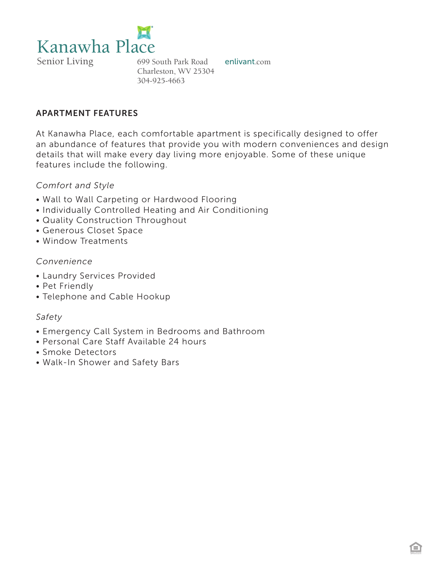

### APARTMENT FEATURES

At Kanawha Place, each comfortable apartment is specifically designed to offer an abundance of features that provide you with modern conveniences and design details that will make every day living more enjoyable. Some of these unique features include the following.

#### *Comfort and Style*

- Wall to Wall Carpeting or Hardwood Flooring
- Individually Controlled Heating and Air Conditioning
- Quality Construction Throughout
- Generous Closet Space
- Window Treatments

### *Convenience*

- Laundry Services Provided
- Pet Friendly
- Telephone and Cable Hookup

### *Safety*

- Emergency Call System in Bedrooms and Bathroom
- Personal Care Staff Available 24 hours
- Smoke Detectors
- Walk-In Shower and Safety Bars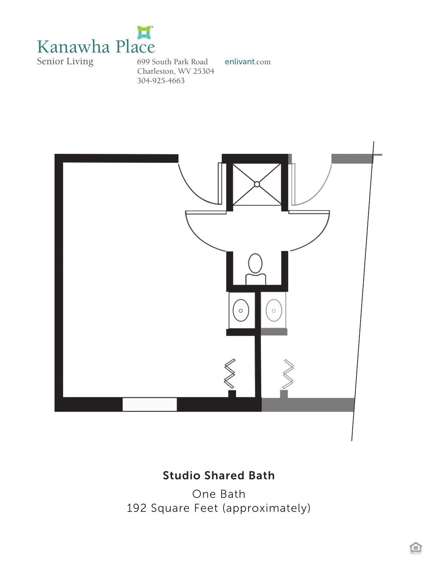



# Studio Shared Bath

One Bath 192 Square Feet (approximately)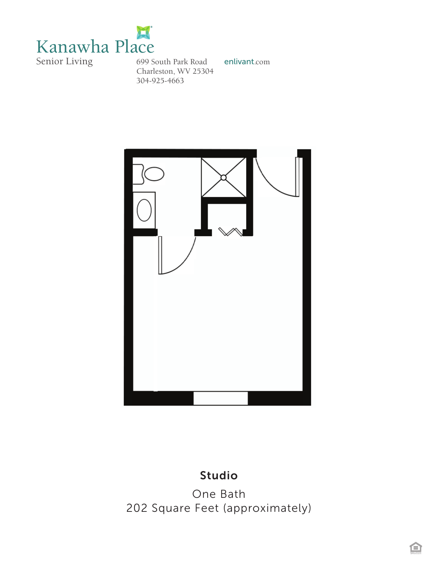



## Studio

One Bath 202 Square Feet (approximately)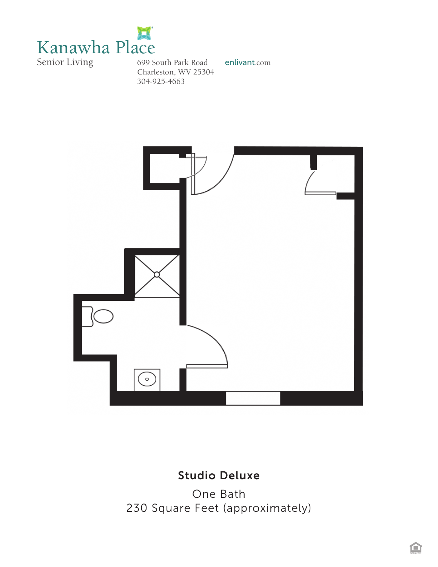



## Studio Deluxe

One Bath 230 Square Feet (approximately)